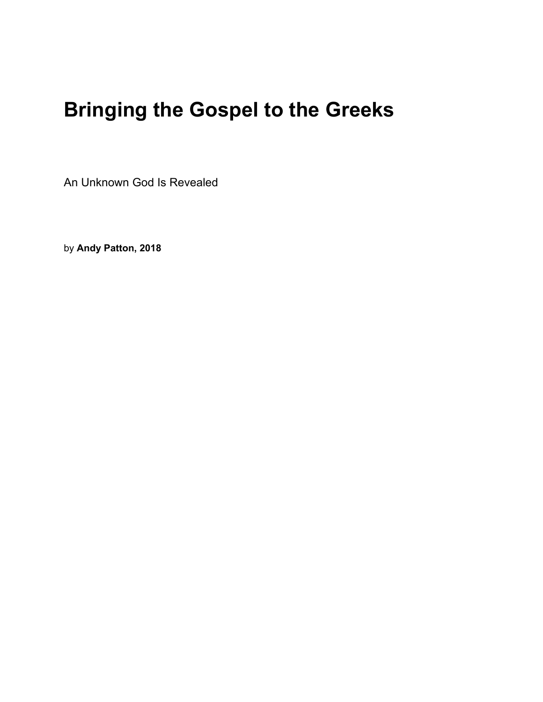# **Bringing the Gospel to the Greeks**

An Unknown God Is Revealed

by **Andy Patton, 2018**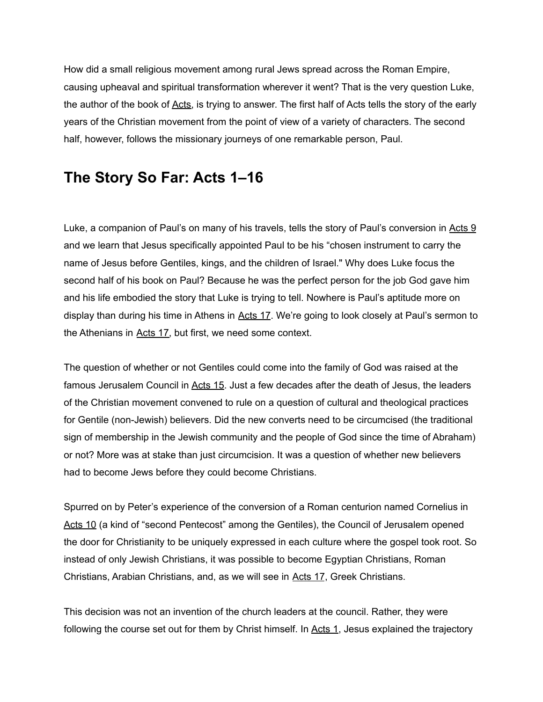How did a small religious movement among rural Jews spread across the Roman Empire, causing upheaval and spiritual transformation wherever it went? That is the very question Luke, the author of the book of [Acts,](https://bibleproject.com/explore/category/luke-acts-series/) is trying to answer. The first half of Acts tells the story of the early years of the Christian movement from the point of view of a variety of characters. The second half, however, follows the missionary journeys of one remarkable person, Paul.

### **The Story So Far: Acts 1–16**

Luke, a companion of Paul's on many of his travels, tells the story of Paul's conversion in [Acts](https://bibleproject.com/blog/bringing-the-gospel-to-the-greeks/#) 9 and we learn that Jesus specifically appointed Paul to be his "chosen instrument to carry the name of Jesus before Gentiles, kings, and the children of Israel." Why does Luke focus the second half of his book on Paul? Because he was the perfect person for the job God gave him and his life embodied the story that Luke is trying to tell. Nowhere is Paul's aptitude more on display than during his time in Athens in [Acts](https://bibleproject.com/blog/bringing-the-gospel-to-the-greeks/#) 17. We're going to look closely at Paul's sermon to the Athenians in [Acts](https://bibleproject.com/blog/bringing-the-gospel-to-the-greeks/#) 17, but first, we need some context.

The question of whether or not Gentiles could come into the family of God was raised at the famous Jerusalem Council in [Acts](https://bibleproject.com/blog/bringing-the-gospel-to-the-greeks/#) 15. Just a few decades after the death of Jesus, the leaders of the Christian movement convened to rule on a question of cultural and theological practices for Gentile (non-Jewish) believers. Did the new converts need to be circumcised (the traditional sign of membership in the Jewish community and the people of God since the time of Abraham) or not? More was at stake than just circumcision. It was a question of whether new believers had to become Jews before they could become Christians.

Spurred on by Peter's experience of the conversion of a Roman centurion named Cornelius in [Acts](https://bibleproject.com/blog/bringing-the-gospel-to-the-greeks/#) 10 (a kind of "second Pentecost" among the Gentiles), the Council of Jerusalem opened the door for Christianity to be uniquely expressed in each culture where the gospel took root. So instead of only Jewish Christians, it was possible to become Egyptian Christians, Roman Christians, Arabian Christians, and, as we will see in [Acts](https://bibleproject.com/blog/bringing-the-gospel-to-the-greeks/#) 17, Greek Christians.

This decision was not an invention of the church leaders at the council. Rather, they were following the course set out for them by Christ himself. In [Acts](https://bibleproject.com/blog/bringing-the-gospel-to-the-greeks/#) 1, Jesus explained the trajectory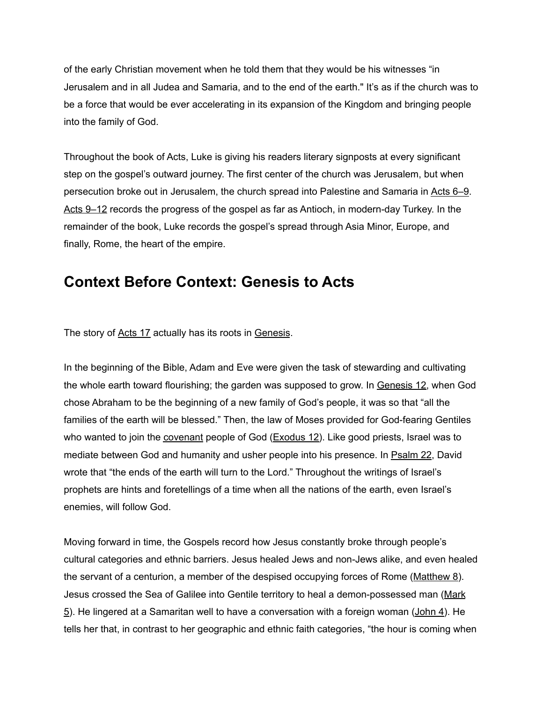of the early Christian movement when he told them that they would be his witnesses "in Jerusalem and in all Judea and Samaria, and to the end of the earth." It's as if the church was to be a force that would be ever accelerating in its expansion of the Kingdom and bringing people into the family of God.

Throughout the book of Acts, Luke is giving his readers literary signposts at every significant step on the gospel's outward journey. The first center of the church was Jerusalem, but when persecution broke out in Jerusalem, the church spread into Palestine and Samaria in [Acts](https://bibleproject.com/blog/bringing-the-gospel-to-the-greeks/#) 6–9. Acts 9-12 records the progress of the gospel as far as Antioch, in modern-day Turkey. In the remainder of the book, Luke records the gospel's spread through Asia Minor, Europe, and finally, Rome, the heart of the empire.

## **Context Before Context: Genesis to Acts**

The story of [Acts](https://bibleproject.com/blog/bringing-the-gospel-to-the-greeks/#) 17 actually has its roots in [Genesis](https://bibleproject.com/explore/video/genesis-1-11/).

In the beginning of the Bible, Adam and Eve were given the task of stewarding and cultivating the whole earth toward flourishing; the garden was supposed to grow. In [Genesis](https://bibleproject.com/blog/bringing-the-gospel-to-the-greeks/#) 12, when God chose Abraham to be the beginning of a new family of God's people, it was so that "all the families of the earth will be blessed." Then, the law of Moses provided for God-fearing Gentiles who wanted to join the *[covenant](https://bibleproject.com/explore/video/covenants/)* people of God  $(Exodus 12)$  $(Exodus 12)$  $(Exodus 12)$ . Like good priests, Israel was to mediate between God and humanity and usher people into his presence. In [Psalm](https://bibleproject.com/blog/bringing-the-gospel-to-the-greeks/#) 22, David wrote that "the ends of the earth will turn to the Lord." Throughout the writings of Israel's prophets are hints and foretellings of a time when all the nations of the earth, even Israel's enemies, will follow God.

Moving forward in time, the Gospels record how Jesus constantly broke through people's cultural categories and ethnic barriers. Jesus healed Jews and non-Jews alike, and even healed the servant of a centurion, a member of the despised occupying forces of Rome [\(Matthew](https://bibleproject.com/blog/bringing-the-gospel-to-the-greeks/#) 8). Jesus crossed the Sea of Galilee into Gentile territory to heal a demon-possessed man ([Mark](https://bibleproject.com/blog/bringing-the-gospel-to-the-greeks/#)  $5$ ). He lingered at a Samaritan well to have a conversation with a foreign woman ([John](https://bibleproject.com/blog/bringing-the-gospel-to-the-greeks/#) 4). He tells her that, in contrast to her geographic and ethnic faith categories, "the hour is coming when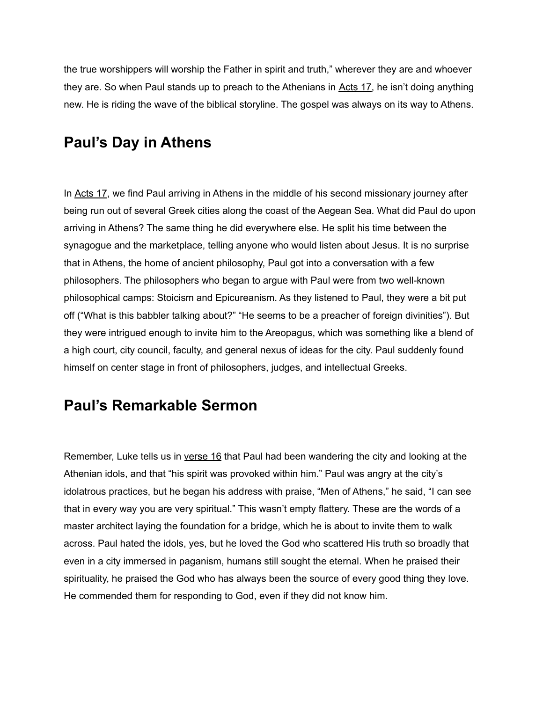the true worshippers will worship the Father in spirit and truth," wherever they are and whoever they are. So when Paul stands up to preach to the Athenians in [Acts](https://bibleproject.com/blog/bringing-the-gospel-to-the-greeks/#) 17, he isn't doing anything new. He is riding the wave of the biblical storyline. The gospel was always on its way to Athens.

## **Paul's Day in Athens**

In [Acts](https://bibleproject.com/blog/bringing-the-gospel-to-the-greeks/#) 17, we find Paul arriving in Athens in the middle of his second missionary journey after being run out of several Greek cities along the coast of the Aegean Sea. What did Paul do upon arriving in Athens? The same thing he did everywhere else. He split his time between the synagogue and the marketplace, telling anyone who would listen about Jesus. It is no surprise that in Athens, the home of ancient philosophy, Paul got into a conversation with a few philosophers. The philosophers who began to argue with Paul were from two well-known philosophical camps: Stoicism and Epicureanism. As they listened to Paul, they were a bit put off ("What is this babbler talking about?" "He seems to be a preacher of foreign divinities"). But they were intrigued enough to invite him to the Areopagus, which was something like a blend of a high court, city council, faculty, and general nexus of ideas for the city. Paul suddenly found himself on center stage in front of philosophers, judges, and intellectual Greeks.

#### **Paul's Remarkable Sermon**

Remember, Luke tells us in [verse](https://bibleproject.com/blog/bringing-the-gospel-to-the-greeks/#) 16 that Paul had been wandering the city and looking at the Athenian idols, and that "his spirit was provoked within him." Paul was angry at the city's idolatrous practices, but he began his address with praise, "Men of Athens," he said, "I can see that in every way you are very spiritual." This wasn't empty flattery. These are the words of a master architect laying the foundation for a bridge, which he is about to invite them to walk across. Paul hated the idols, yes, but he loved the God who scattered His truth so broadly that even in a city immersed in paganism, humans still sought the eternal. When he praised their spirituality, he praised the God who has always been the source of every good thing they love. He commended them for responding to God, even if they did not know him.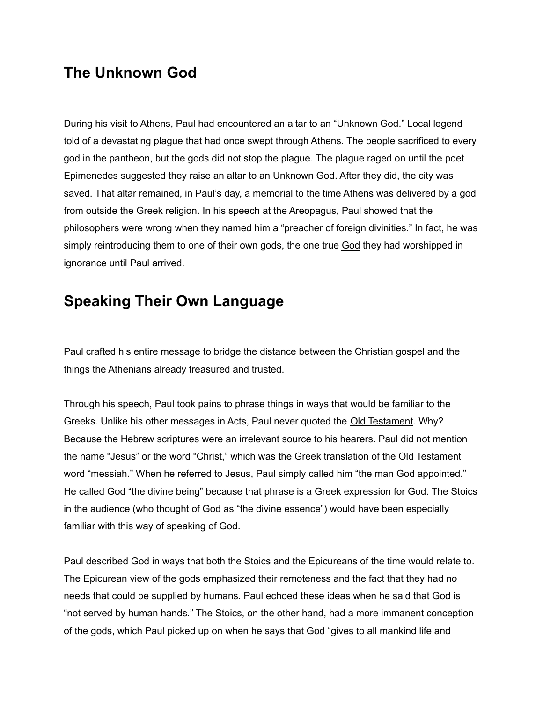#### **The Unknown God**

During his visit to Athens, Paul had encountered an altar to an "Unknown God." Local legend told of a devastating plague that had once swept through Athens. The people sacrificed to every god in the pantheon, but the gods did not stop the plague. The plague raged on until the poet Epimenedes suggested they raise an altar to an Unknown God. After they did, the city was saved. That altar remained, in Paul's day, a memorial to the time Athens was delivered by a god from outside the Greek religion. In his speech at the Areopagus, Paul showed that the philosophers were wrong when they named him a "preacher of foreign divinities." In fact, he was simply reintroducing them to one of their own gods, the one true [God](https://bibleproject.com/explore/video/god-video/) they had worshipped in ignorance until Paul arrived.

# **Speaking Their Own Language**

Paul crafted his entire message to bridge the distance between the Christian gospel and the things the Athenians already treasured and trusted.

Through his speech, Paul took pains to phrase things in ways that would be familiar to the Greeks. Unlike his other messages in Acts, Paul never quoted the Old [Testament](https://bibleproject.com/explore/video/old-testament-tanak/). Why? Because the Hebrew scriptures were an irrelevant source to his hearers. Paul did not mention the name "Jesus" or the word "Christ," which was the Greek translation of the Old Testament word "messiah." When he referred to Jesus, Paul simply called him "the man God appointed." He called God "the divine being" because that phrase is a Greek expression for God. The Stoics in the audience (who thought of God as "the divine essence") would have been especially familiar with this way of speaking of God.

Paul described God in ways that both the Stoics and the Epicureans of the time would relate to. The Epicurean view of the gods emphasized their remoteness and the fact that they had no needs that could be supplied by humans. Paul echoed these ideas when he said that God is "not served by human hands." The Stoics, on the other hand, had a more immanent conception of the gods, which Paul picked up on when he says that God "gives to all mankind life and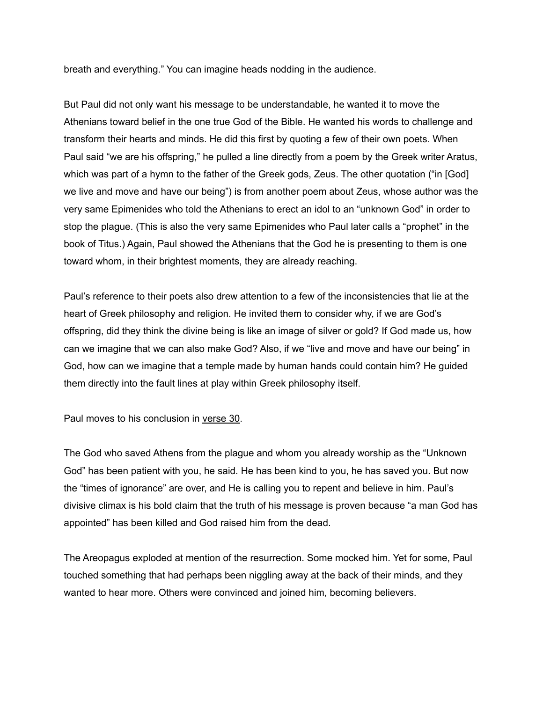breath and everything." You can imagine heads nodding in the audience.

But Paul did not only want his message to be understandable, he wanted it to move the Athenians toward belief in the one true God of the Bible. He wanted his words to challenge and transform their hearts and minds. He did this first by quoting a few of their own poets. When Paul said "we are his offspring," he pulled a line directly from a poem by the Greek writer Aratus, which was part of a hymn to the father of the Greek gods, Zeus. The other quotation ("in [God] we live and move and have our being") is from another poem about Zeus, whose author was the very same Epimenides who told the Athenians to erect an idol to an "unknown God" in order to stop the plague. (This is also the very same Epimenides who Paul later calls a "prophet" in the book of Titus.) Again, Paul showed the Athenians that the God he is presenting to them is one toward whom, in their brightest moments, they are already reaching.

Paul's reference to their poets also drew attention to a few of the inconsistencies that lie at the heart of Greek philosophy and religion. He invited them to consider why, if we are God's offspring, did they think the divine being is like an image of silver or gold? If God made us, how can we imagine that we can also make God? Also, if we "live and move and have our being" in God, how can we imagine that a temple made by human hands could contain him? He guided them directly into the fault lines at play within Greek philosophy itself.

Paul moves to his conclusion in [verse](https://bibleproject.com/blog/bringing-the-gospel-to-the-greeks/#) 30.

The God who saved Athens from the plague and whom you already worship as the "Unknown God" has been patient with you, he said. He has been kind to you, he has saved you. But now the "times of ignorance" are over, and He is calling you to repent and believe in him. Paul's divisive climax is his bold claim that the truth of his message is proven because "a man God has appointed" has been killed and God raised him from the dead.

The Areopagus exploded at mention of the resurrection. Some mocked him. Yet for some, Paul touched something that had perhaps been niggling away at the back of their minds, and they wanted to hear more. Others were convinced and joined him, becoming believers.